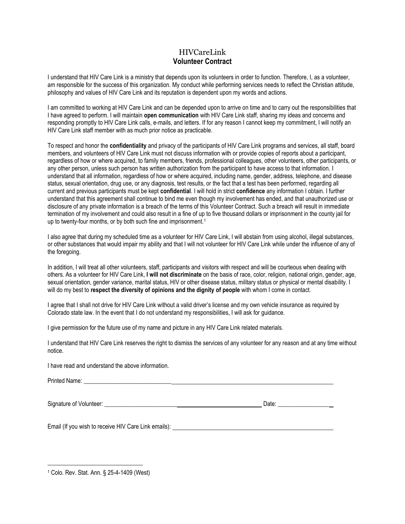## HIVCareLink **Volunteer Contract**

I understand that HIV Care Link is a ministry that depends upon its volunteers in order to function. Therefore, I, as a volunteer, am responsible for the success of this organization. My conduct while performing services needs to reflect the Christian attitude, philosophy and values of HIV Care Link and its reputation is dependent upon my words and actions.

I am committed to working at HIV Care Link and can be depended upon to arrive on time and to carry out the responsibilities that I have agreed to perform. I will maintain **open communication** with HIV Care Link staff, sharing my ideas and concerns and responding promptly to HIV Care Link calls, e-mails, and letters. If for any reason I cannot keep my commitment, I will notify an HIV Care Link staff member with as much prior notice as practicable.

To respect and honor the **confidentiality** and privacy of the participants of HIV Care Link programs and services, all staff, board members, and volunteers of HIV Care Link must not discuss information with or provide copies of reports about a participant, regardless of how or where acquired, to family members, friends, professional colleagues, other volunteers, other participants, or any other person, unless such person has written authorization from the participant to have access to that information. I understand that all information, regardless of how or where acquired, including name, gender, address, telephone, and disease status, sexual orientation, drug use, or any diagnosis, test results, or the fact that a test has been performed, regarding all current and previous participants must be kept **confidential**. I will hold in strict **confidence** any information I obtain. I further understand that this agreement shall continue to bind me even though my involvement has ended, and that unauthorized use or disclosure of any private information is a breach of the terms of this Volunteer Contract. Such a breach will result in immediate termination of my involvement and could also result in a fine of up to five thousand dollars or imprisonment in the county jail for up to twenty-four months, or by both such fine and imprisonment.<sup>1</sup>

I also agree that during my scheduled time as a volunteer for HIV Care Link, I will abstain from using alcohol, illegal substances, or other substances that would impair my ability and that I will not volunteer for HIV Care Link while under the influence of any of the foregoing.

In addition, I will treat all other volunteers, staff, participants and visitors with respect and will be courteous when dealing with others. As a volunteer for HIV Care Link, **I will not discriminate** on the basis of race, color, religion, national origin, gender, age, sexual orientation, gender variance, marital status, HIV or other disease status, military status or physical or mental disability. I will do my best to **respect the diversity of opinions and the dignity of people** with whom I come in contact.

I agree that I shall not drive for HIV Care Link without a valid driver's license and my own vehicle insurance as required by Colorado state law. In the event that I do not understand my responsibilities, I will ask for guidance.

I give permission for the future use of my name and picture in any HIV Care Link related materials.

I understand that HIV Care Link reserves the right to dismiss the services of any volunteer for any reason and at any time without notice.

I have read and understand the above information.

Printed Name: \_\_\_\_\_\_\_\_\_\_\_\_\_\_\_\_\_\_\_\_\_\_\_\_\_\_\_\_\_

 $\overline{a}$ 

Signature of Volunteer: \_\_\_\_\_\_\_\_\_\_\_\_\_\_\_\_\_\_\_\_\_\_\_\_ Date: \_\_\_\_\_\_\_\_\_\_\_\_\_\_\_\_\_

Email (If you wish to receive HIV Care Link emails):

<sup>1</sup> Colo. Rev. Stat. Ann. § 25-4-1409 (West)